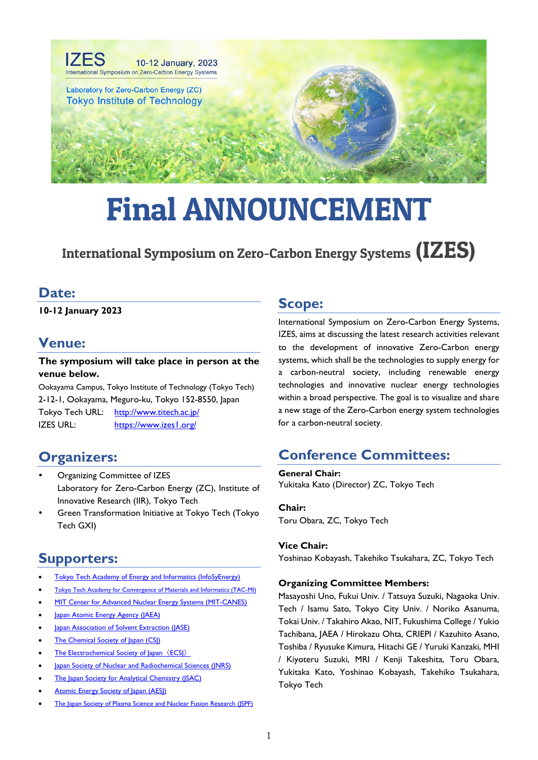

# Final ANNOUNCEMENT

# International Symposium on Zero-Carbon Energy Systems (IZES)

### **Date:**

**10-12 January 2023**

# **Venue:**

#### **The symposium will take place in person at the venue below.**

Ookayama Campus, Tokyo Institute of Technology (Tokyo Tech) 2-12-1, Ookayama, Meguro-ku, Tokyo 152-8550, Japan Tokyo Tech URL: <http://www.titech.ac.jp/> IZES URL: <https://www.izes1.org/>

# **Organizers:**

- Organizing Committee of IZES Laboratory for Zero-Carbon Energy (ZC), Institute of Innovative Research (IIR), Tokyo Tech
- Green Transformation Initiative at Tokyo Tech (Tokyo Tech GXI)

# **Supporters:**

- [Tokyo Tech Academy of Energy and Informatics \(InfoSyEnergy\)](https://www.infosyenergy.titech.ac.jp/Academy/en/)
- [Tokyo Tech Academy for Convergence of Materials and Informatics \(TAC-MI\)](https://www.tac-mi.titech.ac.jp/en/)
- [MIT Center for Advanced Nuclear Energy Systems \(MIT-CANES\)](https://canes.mit.edu/)
- **[Japan Atomic Energy Agency \(JAEA\)](https://www.jaea.go.jp/english/)**
- [Japan Association of Solvent Extraction \(JASE\)](http://www.solventextraction.gr.jp/en/00home.html)
- [The Chemical Society of Japan \(CSJ\)](https://www.chemistry.or.jp/en/)
- [The Electrochemical Society of Japan](https://www.electrochem.jp/english/) (ECSJ)
- [Japan Society of Nuclear and Radiochemical Sciences \(JNRS\)](http://www.radiochem.org/index.html)
- [The Japan Society for Analytical Chemistry \(JSAC\)](https://www.jsac.jp/english-page/)
- [Atomic Energy Society of Japan \(AESJ\)](http://www.aesj.or.jp/en/)
- [The Japan Society of Plasma Science and Nuclear Fusion Research \(JSPF\)](http://www.jspf.or.jp/eng/)

# **Scope:**

International Symposium on Zero-Carbon Energy Systems, IZES, aims at discussing the latest research activities relevant to the development of innovative Zero-Carbon energy systems, which shall be the technologies to supply energy for a carbon-neutral society, including renewable energy technologies and innovative nuclear energy technologies within a broad perspective. The goal is to visualize and share a new stage of the Zero-Carbon energy system technologies for a carbon-neutral society.

# **Conference Committees:**

**General Chair:** Yukitaka Kato (Director) ZC, Tokyo Tech

**Chair:** Toru Obara, ZC, Tokyo Tech

#### **Vice Chair:**

Yoshinao Kobayash, Takehiko Tsukahara, ZC, Tokyo Tech

#### **Organizing Committee Members:**

Masayoshi Uno, Fukui Univ. / Tatsuya Suzuki, Nagaoka Univ. Tech / Isamu Sato, Tokyo City Univ. / Noriko Asanuma, Tokai Univ. / Takahiro Akao, NIT, Fukushima College / Yukio Tachibana, JAEA / Hirokazu Ohta, CRIEPI / Kazuhito Asano, Toshiba / Ryusuke Kimura, Hitachi GE / Yuruki Kanzaki, MHI / Kiyoteru Suzuki, MRI / Kenji Takeshita, Toru Obara, Yukitaka Kato, Yoshinao Kobayash, Takehiko Tsukahara, Tokyo Tech